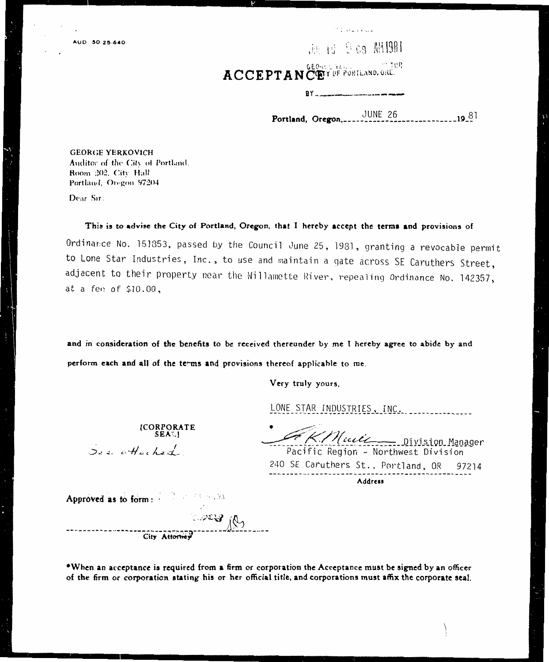Jen 19 9 da AM 1981

مستعلمات والمنا

GEONGE TELL ACCEPTANCEY OF PORTLAND, ORE.

 $BY$ <sub>----</sub>

 $---19.81$ 

**GEORGE YERKOVICH** Auditor of the City of Portland. Room 202, City Hall Portland, Oregon 97204

Dear Sir:

This is to advise the City of Portland, Oregon, that I hereby accept the terms and provisions of

Ordinance No. 151853, passed by the Council June 25, 1981, granting a revocable permit to Lone Star Industries, Inc., to use and maintain a gate across SE Caruthers Street, adjacent to their property near the Willamette River, repealing Ordinance No. 142357, at a fee of \$10.00,

and in consideration of the benefits to be received thereunder by me I hereby agree to abide by and perform each and all of the terms and provisions thereof applicable to me.

Very truly yours,

LONE STAR INDUSTRIES, INC.

KMuit Division Manager Pacific Region - Northwest Division

240 SE Caruthers St., Portland, OR 97214 Address

Approved as to form: March 1980 (Sept.)

See otherhed

[CORPORATE<br>SEAL]

City Attorney

\*When an acceptance is required from a firm or corporation the Acceptance must be signed by an officer of the firm or corporation stating his or her official title, and corporations must affix the corporate seal.

**Comers** Res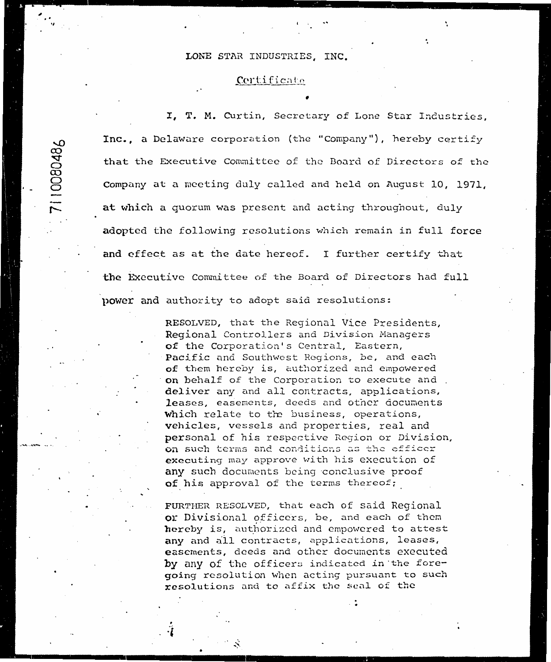#### LONE STAR INDUSTRIES, INC.

7110080486

#### Certificate

I, T. M. Curtin, Secretary of Lone Star Industries, Inc., a Delaware corporation (the "Company"), hereby certify that the Executive Committee of the Board of Directors of the Company at a meeting duly called and held on August 10, 1971, at which a quorum was present and acting throughout, duly adopted the following resolutions which remain in full force and effect as at the date hereof. I further certify that the Executive Committee of the Board of Directors had full power and authority to adopt said resolutions:

> RESOLVED, that the Regional Vice Presidents, Regional Controllers and Division Managers of the Corporation's Central, Eastern, Pacific and Southwest Regions, be, and each of them hereby is, authorized and empowered on behalf of the Corporation to execute and deliver any and all contracts, applications, leases, easements, deeds and other documents which relate to the business, operations, vehicles, vessels and properties, real and personal of his respective Region or Division, on such terms and conditions as the officer executing may approve with his execution of any such documents being conclusive proof of his approval of the terms thereof;

FURTHER RESOLVED, that each of said Regional or Divisional officers, be, and each of them hereby is, authorized and empowered to attest any and all contracts, applications, leases, easements, deeds and other documents executed by any of the officers indicated in the foregoing resolution when acting pursuant to such  ${\tt resolution}$  and to affix the seal of the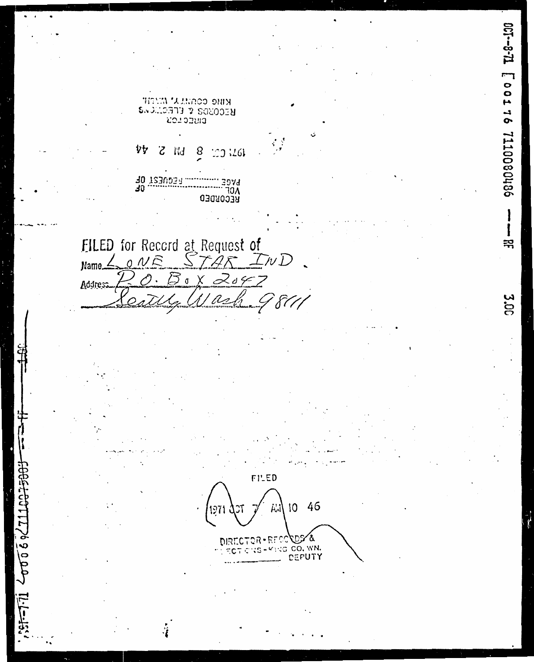$12 - 130$ [0011080011100801186 KIMO CONMUN' MUTH RECORDS & ELECTIONS 4Þ **Alid** Z 8 1034401 10<br>10 T230034<br>10 T230034 3074 ٦٥٨ RECORDED FILED for Record at Request of<br>Name <u>(and STAR</u> InD 끆  $\mathfrak{Z} \, \mathfrak{a}$  $\alpha$ d 4 Address **3.0C** FILED  $271122$ 10 46 Al CO**ODS &**<br>RO CO. WN.<br>L. DEPUTY  $20006$ ЕF DF ۰S. C  $37 - 7.11$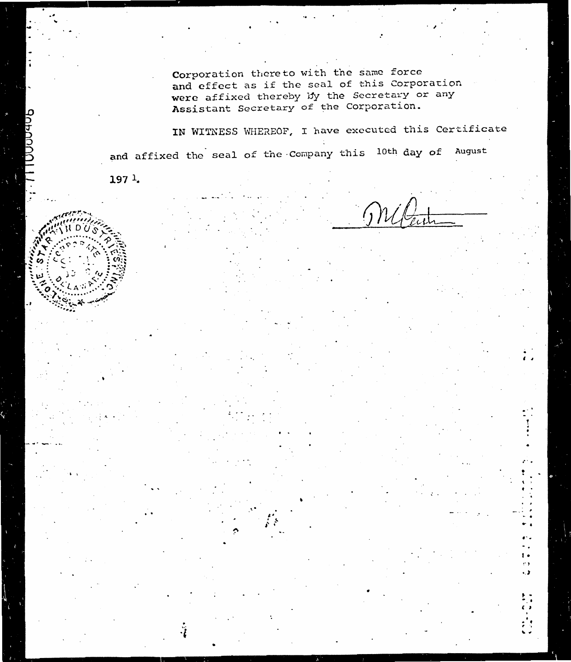Corporation thereto with the same force and effect as if the seal of this Corporation were affixed thereby by the Secretary or any Assistant Secretary of the Corporation.

IN WITNESS WHEREOF, I have executed this Certificate and affixed the seal of the Company this 10th day of August

1971.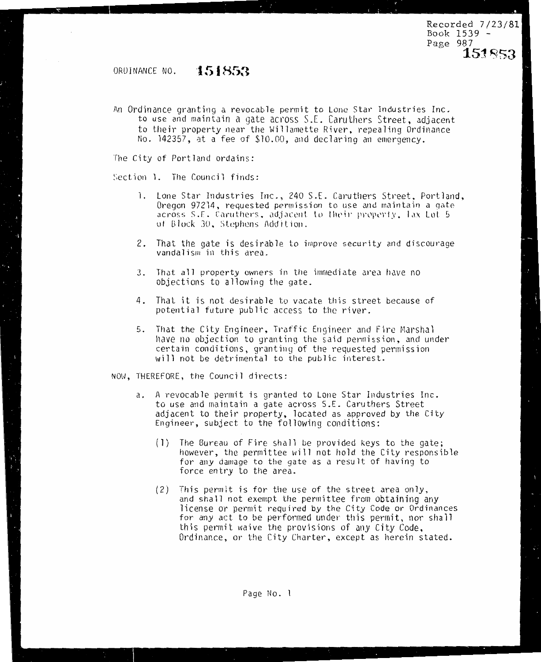Recorded 7/23/81  $Book 1539 P<sub>A</sub>$  $Q<sub>A</sub>$  $Q<sub>A</sub>$  $\sqrt{454}$  $P_{\text{C}}(3, 2)$ 

**15:1** ~53

### ORDINANCE NO. **151853**

An Ordinance granting a revocable permit to Lone Star Industries Inc. to use and maintain a gate across S.E. Caruthers Street, adiacent to their property near the Willamette River, repealing Ordinance No. 142357, at a fee of \$10.00, and declaring an emergency.

The City of Portland ordains:

Section 1. The Council finds:

- 1. Lone Star Industries Inc., 240 S.E. Caruthers Street, Portland, Oregon 97214, requested permission to use and maintain a gate. across S.E. Caruthers, adjacent to their property. Tax Lot 5 of Block 30, Stephens Addition.
- 2. That the gate is desirable to improve security and discourage vandalism in this area.
- 3. That all property owners in the immediate area have no objections to allowing the gate.
- 4. That it is not desirable to vacate this street because of potential future public access to the river.
- 5. have no objection to granting the said permission, and under certain conditions, granting of the requested permission will not be detrimental to the public interest.<br>NOW, THEREFORE, the Council directs:

 $\mathcal{N}=\mathcal{N}=\mathcal{N}=\mathcal{N}=\mathcal{N}=\mathcal{N}=\mathcal{N}=\mathcal{N}=\mathcal{N}=\mathcal{N}=\mathcal{N}=\mathcal{N}=\mathcal{N}=\mathcal{N}=\mathcal{N}=\mathcal{N}=\mathcal{N}=\mathcal{N}=\mathcal{N}=\mathcal{N}=\mathcal{N}=\mathcal{N}=\mathcal{N}=\mathcal{N}=\mathcal{N}=\mathcal{N}=\mathcal{N}=\mathcal{N}=\mathcal{N}=\mathcal{N}=\mathcal{N}=\mathcal{N}=\mathcal{N}=\mathcal{N}=\mathcal{N}=\mathcal{N}=\mathcal{$ 

- a. A revocable permit is granted to Lone Star Industries Inc. to use and maintain a gate across S.E. Caruthers Street adjacent to their property, located as approved by the City Engineer, subject to the following conditions:<br>(1) The Bureau of Fire shall be provided keys to the gate:
	- $(1)$ however, the permittee will not hold the City responsible for any damage to the gate as a result of having to force entry to the area.
	- (2) This permit is for the use of the street area only. and shall not exempt the permittee from obtaining any license or permit required by the City Code or Ordinances for any act to be performed under this permit, nor shall this permit waive the provisions of any City Code. Ordinance, or the City Charter, except as herein stated.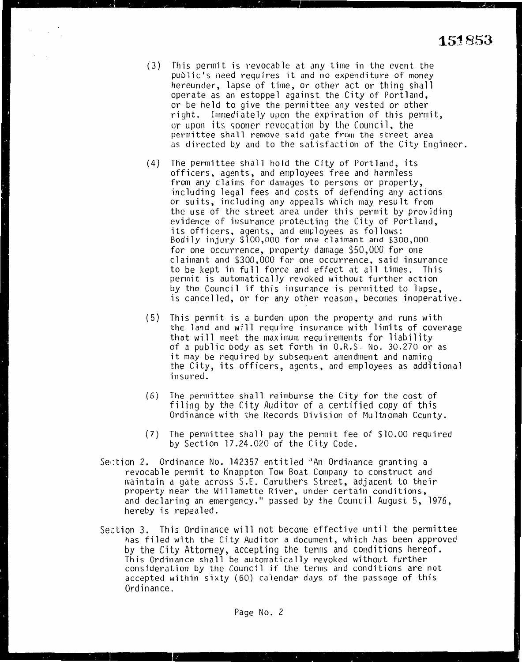$(3)$  This permit is revocable at any time in the event the public's need requires it and no expenditure of money hereunder, lapse of time, or other act or thing shall operate as an estoppel against the City of Portland, or be held to give the permittee any vested or other right. Immediately upon the expiration of this permit, or upon its sooner revocation by the Council, the permittee shall remove said gate from the street area as directed by and to the satisfaction of the City Engineer.

 $\epsilon_{\rm{max}}=100$ 

- (4) The permittee shall hold the City of Portland, its officers, agents, and employees free and harmless from any claims for damages to persons or property, including legal fees and costs of defending any actions or suits, including any appeals which may result from the use of the street area under this permit by providing evidence of insurance protecting the City of Portland, its officers, agents, and employees as follows: Bodily injury \$100,000 for one claimant and \$300,000 for one occurrence, property damage \$50,000 for one claimant and \$300,000 for one occurrence, said insurance to be kept in full force and effect at all times. This permit is automatically revoked without further action by the Council if this insurance is permitted to lapse, is cancelled, or for any other reason, becomes inoperative.
- (5) This permit is a burden upon the property and runs with the land and will require insurance with limits of coverage that will meet the maximum requirements for liability of a public body as set forth in O.R.S. No. 30.270 or as it may be required by subsequent amendment and naming the City, its officers, agents, and employees as additional insured.
- (6) The permittee shall reimburse the City for the cost of filing by the City Auditor of a certified copy of this Ordinance with the Records Division of Multnomah County.
- (7) The permittee shall pay the permit fee of \$10.00 required by Section 17.24.020 of the City Code.
- Section 2. Ordinance No. 142357 entitled "An Ordinance granting a revocable permit to Knappton Tow Boat Company to construct and maintain a gate across S.E. Caruthers Street, adjacent to their property near the Willamette River, under certain conditions, and declaring an emergency." passed by the Council August 5, 1976, hereby is repealed.
- Section 3. This Ordinance will not become effective until the permittee has filed with the City Auditor a document, which has been approved by the City Attorney, accepting the terms and conditions hereof. This Ordinance shall be automatically revoked without further consideration by the Council if the terms and conditions are not accepted within sixty (60) calendar days of the passage of this Ordinance.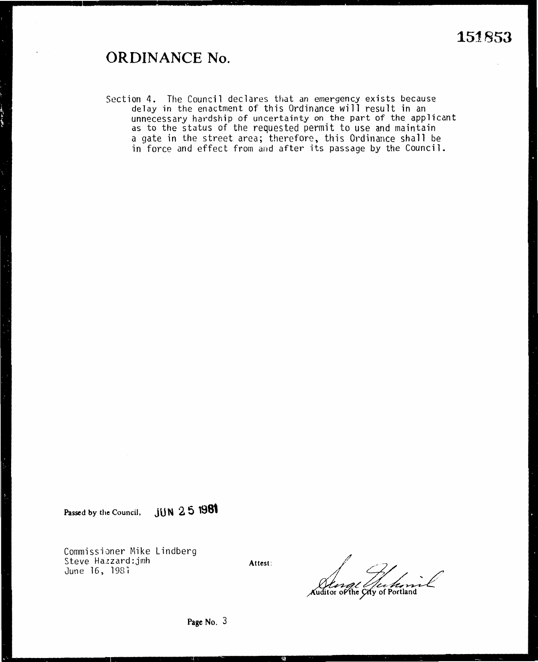## **ORDINANCE No.**

Section 4. The Council declares that an emergency exists because delay in the enactment of this Ordinance will result in an unnecessary hardship of uncertainty on the part of the applicant as to the status of the requested permit to use and maintain a gate in the street area; therefore, this Ordinance shall be in force and effect from and after its passage by the Council.

**Passed by the Council, JUN 2 5 1981** 

Commissioner Mike Lindberg Steve Hazzard:jmh June 16, 1981

**Attest:** 

~#;-v/ .. .. / .'?e-~~ **he** · **y of Portland**